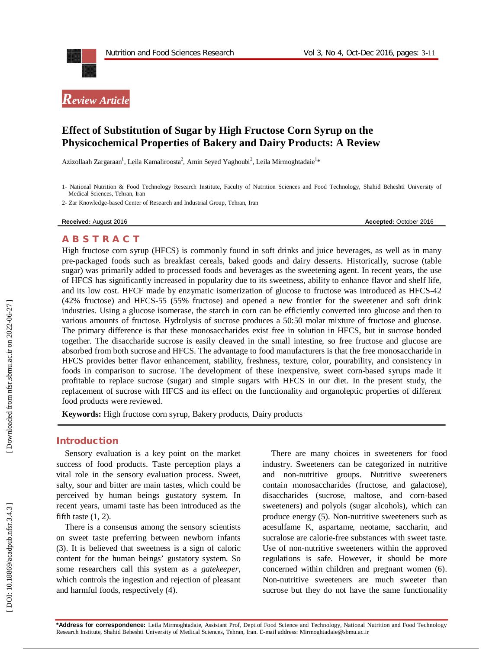



## **Effect of Substitution of Sugar by High Fructose Corn Syrup on the Physicochemical Properties of Bakery and Dairy Products: A Review**

Azizollaah Zargaraan<sup>1</sup>, Leila Kamaliroosta<sup>2</sup>, Amin Seyed Yaghoubi<sup>2</sup>, Leila Mirmoghtadaie<sup>1</sup>\*

1 - National Nutrition & Food Technology Research Institute, Faculty of Nutrition Sciences and Food Technology, Shahid Beheshti University of Medical Sciences, Tehran, Iran

2 - Zar Knowledge -based Center of Research and Industrial Group, Tehran, Iran

**Received:** August 201

6 **Accepted:** October 201 6

#### **A B S T R A C T**

High fructose corn syrup (HFCS) is commonly found in soft drinks and juice beverages, as well as in many pre -packaged foods such as breakfast cereals, baked goods and dairy desserts. Historically, sucrose (table sugar) was primarily added to processed foods and beverages as the sweetening agent. In recent years, the use of HFCS has significantly increased in popularity due to its sweetness, ability to enhance flavor and shelf life, and its low cost. HFCF made by enzymatic isomerization of glucose to fructose was introduced as HFCS -42 (42% fructose) and HFCS -55 (55% fructose) and opened a new frontier for the sweetener and soft drink industries. Using a glucose isomerase, the starch in corn can be efficiently converted into glucose and then to various amounts of fructose. Hydrolysis of sucrose produces a 50:50 molar mixture of fructose and glucose. The primary difference is that these monosaccharides exist free in solution in HFCS, but in sucrose bonded together. The disaccharide sucrose is easily cleaved in the small intestine, so free fructose and glucose are absorbed from both sucrose and HFCS. The advantage to food manufacturers is that the free monosaccharide in HFCS provides better flavor enhancement, stability, freshness, texture, color, pourability, and consistency in foods in comparison to sucrose. The development of these inexpensive, sweet corn -based syrups made it profitable to replace sucrose (sugar) and simple sugars with HFCS in our diet. In the present study, the replacement of sucrose with HFCS and its effect on the functionality and organoleptic properties of different food products were reviewed.

**Keywords:** High fructose corn syrup, Bakery products, Dairy products

#### **Introduction**

Sensory evaluation is a key point on the market success of food products. Taste perception plays a vital role in the sensory evaluation process. Sweet, salty, sour and bitter are main tastes, which could be perceived by human beings gustatory system. In recent years, umami taste has been introduced as the fifth taste  $(1, 2)$ .

There is a consensus among the sensory scientists on sweet taste preferring between newborn infants (3). It is believed that sweetness is a sign of caloric content for the human beings' gustatory system. So some researchers call this system as a *gatekeeper*, which controls the ingestion and rejection of pleasant and harmful foods, respectively (4).

There are many choices in sweeteners for food industry. Sweeteners can be categorized in nutritive and non -nutritive groups. Nutritive sweeteners contain monosaccharides (fructose, and galactose), disaccharides (sucrose, maltose, and corn -based sweeteners) and polyols (sugar alcohols), which can produce energy (5). Non -nutritive sweeteners such as acesulfame K, aspartame, neotame, saccharin, and sucralose are calorie -free substances with sweet taste. Use of non -nutritive sweeteners within the approved regulations is safe. However, it should be more concerned within children and pregnant women (6). Non -nutritive sweeteners are much sweeter than sucrose but they do not have the same functionality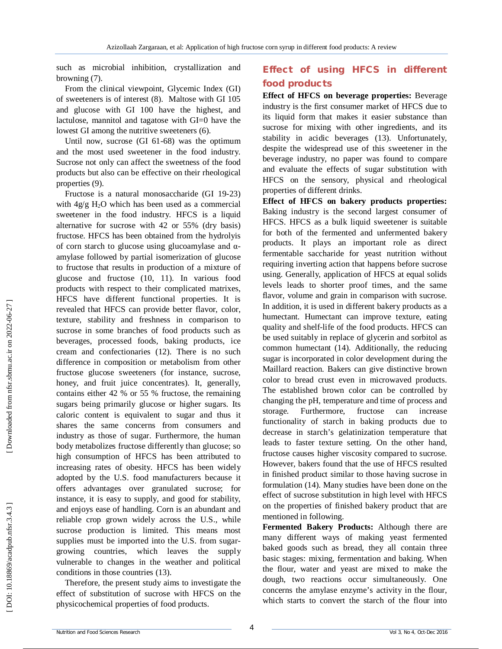such as microbial inhibition, crystallization and browning (7).

From the clinical viewpoint, Glycemic Index (GI) of sweeteners is of interest (8). Maltose with GI 105 and glucose with GI 100 have the highest, and lactulose, mannitol and tagatose with GI=0 have the lowest GI among the nutritive sweeteners (6).

Until now, sucrose (GI 61 -68) was the optimum and the most used sweetener in the food industry. Sucrose not only can affect the sweetness of the food products but also can be effective on their rheological properties (9).

Fructose is a natural monosaccharide (G I 19 -23) with 4g/g H <sup>2</sup>O which has been used as a commercial sweetener in the food industry. HFCS is a liquid alternative for sucrose with 42 or 55% (dry basis) fructose. HFCS has been obtained from the hydrolyis of corn starch to glucose using glucoamylase and α amylase followed by partial isomerization of glucose to fructose that results in production of a mixture of glucose and fructose (10, 11). In various food products with respect to their complicated matrixes, HFCS have different functional properties. It is revealed that HFCS can provide better flavor, color, texture, stability and freshness in comparison to sucrose in some branches of food products such as beverages, processed foods, baking products, ice cream and confectionaries (12). There is no such difference in composition or metabolism from other fructose glucose sweeteners (for instance, sucrose, honey, and fruit juice concentrates). It, generally, contains either 42 % or 55 % fructose, the remaining sugars being primarily glucose or higher sugars. Its caloric content is equivalent to sugar and thus it shares the same concerns from consumers and industry as those of sugar. Furthermore, the human body metabolizes fructose differently than glucose; so high consumption of HFCS has been attributed to increasing rates of obesity. HFCS has been widely adopted by the U.S. food manufacturers because it offers advantages over granulated sucrose; for instance, it is easy to supply, and good for stability, and enjoys ease of handling. Corn is an abundant and reliable crop grown widely across the U.S., while sucrose production is limited. This means most supplies must be imported into the U.S. from sugar growing countries, which leaves the supply vulnerable to changes in the weather and political conditions in those countries (13).

Therefore, the present study aims to investigate the effect of substitution of sucrose with HFCS on the physicochemical properties of food products.

# **Effect of using HFCS in different food products**

**Effect of HFCS on beverage properties:** Beverage industry is the first consumer market of HFCS due to its liquid form that makes it easier substance than sucrose for mixing with other ingredients, and its stability in acidic beverages (13). Unfortunately, despite the widespread use of this sweetener in the beverage industry, no paper was found to compare and evaluate the effects of sugar substitution with HFCS on the sensory, physical and rheological properties of different drinks.

**Effect of HFCS on bakery products properties:**  Baking industry is the second largest consumer of HFCS. HFCS as a bulk liquid sweetener is suitable for both of the fermented and unfermented bakery products. It plays an important role as direct fermentable saccharide for yeast nutrition without requiring inverting action that happens before sucrose using. Generally, application of HFCS at equal solids levels leads to shorter proof times, and the same flavor, volume and grain in comparison with sucrose. In addition, it is used in different bakery products as a humectant. Humectant can improve texture, eating quality and shelf-life of the food products. HFCS can be used suitably in replace of glycerin and sorbitol as common humectant (14). Additionally, the reducing sugar is incorporated in color development during the Maillard reaction. Bakers can give distinctive brown color to bread crust even in microwaved products. The established brown color can be controlled by changing the pH, temperature and time of process and storage. Furthermore, fructose can increase functionality of starch in baking products due to decrease in starch's gelatinization temperature that leads to faster texture setting. On the other hand, fructose causes higher viscosity compared to sucrose. However, bakers found that the use of HFCS resulted in finished product similar to those having sucrose in formulation (14). Many studies have been done on the effect of sucrose substitution in high level with HFCS on the properties of finished bakery product that are mentioned in following.

**Fermented Bakery Products:** Although there are many different ways of making yeast fermented baked goods such as bread, they all contain three basic stages: mixing, fermentation and baking. When the flour, water and yeast are mixed to make the dough, two reactions occur simultaneously. One concerns the amylase enzyme's activity in the flour, which starts to convert the starch of the flour into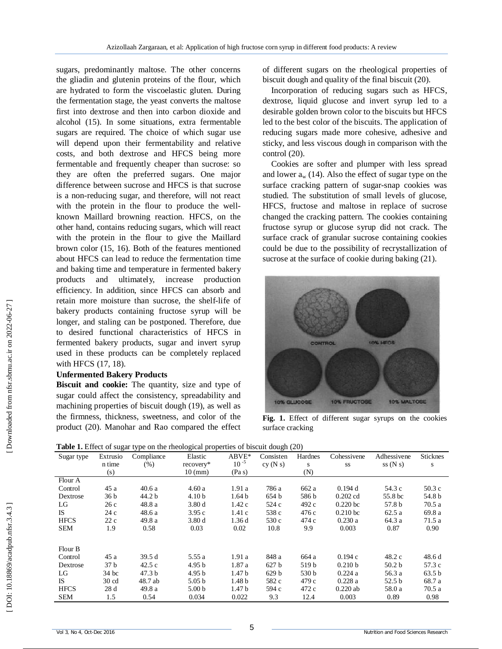sugars, predominantly maltose. The other concerns the gliadin and glutenin proteins of the flour, which are hydrated to form the viscoelastic gluten. During the fermentation stage, the yeast converts the maltose first into dextrose and then into carbon dioxide and alcohol (15). In some situations, extra fermentable sugars are required. The choice of which sugar use will depend upon their fermentability and relative costs, and both dextrose and HFCS being more fermentable and frequently cheaper than sucrose: so they are often the preferred sugars. One major difference between sucrose and HFCS is that sucrose is a non -reducing sugar, and therefore, will not react with the protein in the flour to produce the wellknown Maillard browning reaction. HFCS, on the other hand, contains reducing sugars, which will react with the protein in the flour to give the Maillard brown color (15, 16). Both of the features mentioned about HFCS can lead to reduce the fermentation time and baking time and temperature in fermented bakery products and ultimately, increase production efficiency. In addition, since HFCS can absorb and retain more moisture than sucrose, the shelf-life of bakery products containing fructose syrup will be longer, and staling can be postponed. Therefore, due to desired functional characteristics of HFCS in fermented bakery products, sugar and invert syrup used in these products can be completely replaced with HFCS (17, 18).

#### **Unfermented Bakery Products**

**Biscuit and cookie:** The quantity, size and type of sugar could affect the consistency, spreadability and machining properties of biscuit dough (19), as well as the firmness, thickness, sweetness, and color of the product (20). Manohar and Rao compared the effect of different sugars on the rheological properties of biscuit dough and quality of the final biscuit (20).

Incorporation of reducing sugars such as HFCS, dextrose, liquid glucose and invert syrup led to a desirable golden brown color to the biscuits but HFCS led to the best color of the biscuits. The application of reducing sugars made more cohesive, adhesive and sticky, and less viscous dough in comparison with the control (20).

Cookies are softer and plumper with less spread and lower a <sup>w</sup> (14). Also the effect of sugar type on the surface cracking pattern of sugar -snap cookies was studied. The substitution of small levels of glucose, HFCS, fructose and maltose in replace of sucrose changed the cracking pattern. The cookies containing fructose syrup or glucose syrup did not crack. The surface crack of granular sucrose containing cookies could be due to the possibility of recrystallization of sucrose at the surface of cookie during baking  $(21)$ .



**Fig. 1.** Effect of different sugar syrups on the cookies surface cracking

|  | Table 1. Effect of sugar type on the rheological properties of biscuit dough (20) |
|--|-----------------------------------------------------------------------------------|
|  |                                                                                   |

| Sugar type  | Extrusio        | Compliance        | Elastic           | $ABVE*$           | Consisten        | Hardnes | Cohessivene | Adhessivene       | <b>Sticknes</b> |
|-------------|-----------------|-------------------|-------------------|-------------------|------------------|---------|-------------|-------------------|-----------------|
|             | n time          | (% )              | recovery*         | $10^{-5}$         | cy(Ns)           | S       | SS          | ss(Ns)            | S               |
|             | (s)             |                   | $10 \text{ (mm)}$ | (Pa s)            |                  | (N)     |             |                   |                 |
| Flour A     |                 |                   |                   |                   |                  |         |             |                   |                 |
| Control     | 45 a            | 40.6 a            | 4.60a             | 1.91 a            | 786 a            | 662 a   | 0.194d      | 54.3 c            | 50.3c           |
| Dextrose    | 36 b            | 44.2 b            | 4.10 <sub>b</sub> | 1.64 <sub>b</sub> | 654 b            | 586 b   | $0.202$ cd  | 55.8 bc           | 54.8 b          |
| LG          | 26 c            | 48.8 a            | 3.80d             | 1.42c             | 524 c            | 492 c   | $0.220$ bc  | 57.8 b            | 70.5a           |
| <b>IS</b>   | 24 c            | 48.6 a            | 3.95c             | 1.41c             | 538 c            | 476 c   | $0.210$ bc  | 62.5a             | 69.8 a          |
| <b>HFCS</b> | 22c             | 49.8 a            | 3.80d             | 1.36d             | 530 c            | 474 c   | 0.230a      | 64.3 a            | 71.5 a          |
| <b>SEM</b>  | 1.9             | 0.58              | 0.03              | 0.02              | 10.8             | 9.9     | 0.003       | 0.87              | 0.90            |
| Flour B     |                 |                   |                   |                   |                  |         |             |                   |                 |
| Control     | 45 a            | 39.5 d            | 5.55a             | 1.91a             | 848 a            | 664 a   | 0.194c      | 48.2 c            | 48.6 d          |
| Dextrose    | 37 b            | 42.5c             | 4.95 <sub>b</sub> | 1.87 a            | 627 <sub>b</sub> | 519 b   | 0.210 b     | 50.2 <sub>b</sub> | 57.3 c          |
| LG          | 34 bc           | 47.3 <sub>b</sub> | 4.95 <sub>b</sub> | 1.47 b            | 629 b            | 530 b   | 0.224a      | 56.3 a            | 63.5 b          |
| <b>IS</b>   | $30 \text{ cd}$ | 48.7 ab           | 5.05 <sub>b</sub> | 1.48 <sub>b</sub> | 582 c            | 479 c   | 0.228a      | 52.5 b            | 68.7 a          |
| <b>HFCS</b> | 28d             | 49.8 a            | 5.00 <sub>b</sub> | 1.47 b            | 594 c            | 472 c   | $0.220$ ab  | 58.0 a            | 70.5 a          |
| <b>SEM</b>  | 1.5             | 0.54              | 0.034             | 0.022             | 9.3              | 12.4    | 0.003       | 0.89              | 0.98            |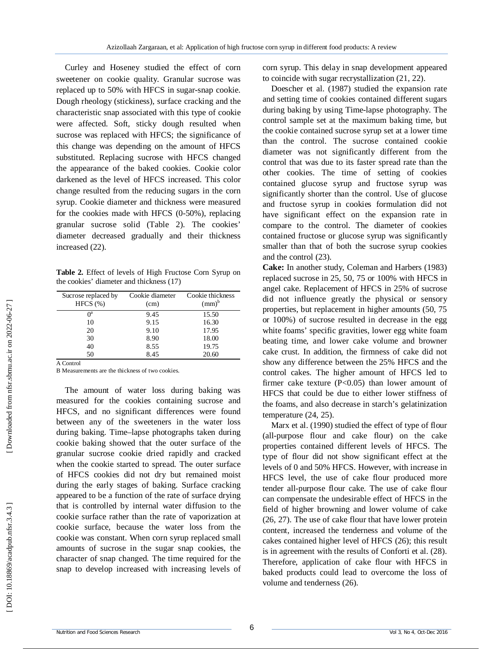Curley and Hoseney studied the effect of corn sweetener on cookie quality. Granular sucrose was replaced up to 50% with HFCS in sugar -snap cookie. Dough rheology (stickiness), surface cracking and the characteristic snap associated with this type of cookie were affected. Soft, sticky dough resulted when sucrose was replaced with HFCS; the significance of this change was depending on the amount of HFCS substituted. Replacing sucrose with HFCS changed the appearance of the baked cookies. Cookie color darkened as the level of HFCS increased. This color change resulted from the reducing sugars in the corn syrup. Cookie diameter and thickness were measured for the cookies made with HFCS (0 -50%), replacing granular sucrose solid (Table 2). The cookies' diameter decreased gradually and their thickness increased (22).

**Table 2.** Effect of levels of High Fructose Corn Syrup on the cookies' diameter and thickness (17)

| Cookie diameter<br>(cm) | Cookie thickness<br>$(mm)^b$ |
|-------------------------|------------------------------|
| 9.45                    | 15.50                        |
| 9.15                    | 16.30                        |
| 9.10                    | 17.95                        |
| 8.90                    | 18.00                        |
| 8.55                    | 19.75                        |
| 8.45                    | 20.60                        |
|                         |                              |

A Control

B Measurements are the thickness of two cookies.

The amount of water loss during baking was measured for the cookies containing sucrose and HFCS, and no significant differences were found between any of the sweeteners in the water loss during baking. Time –lapse photographs taken during cookie baking showed that the outer surface of the granular sucrose cookie dried rapidly and cracked when the cookie started to spread. The outer surface of HFCS cookies did not dry but remained moist during the early stages of baking. Surface cracking appeared to be a function of the rate of surface drying that is controlled by internal water diffusion to the cookie surface rather than the rate of vaporization at cookie surface, because the water loss from the cookie was constant. When corn syrup replaced small amounts of sucrose in the sugar snap cookies, the character of snap changed. The time required for the snap to develop increased with increasing levels of

corn syrup. This delay in snap development appeared to coincide with sugar recrystallization (21, 22).

Doescher et al. (1987) studied the expansion rate and setting time of cookies contained different sugars during baking by using Time -lapse photography. The control sample set at the maximum baking time, but the cookie contained sucrose syrup set at a lower time than the control. The sucrose contained cookie diameter was not significantly different from the control that was due to its faster spread rate than the other cookies. The time of setting of cookies contained glucose syrup and fructose syrup was significantly shorter than the control. Use of glucose and fructose syrup in cookies formulation did not have significant effect on the expansion rate in compare to the control. The diameter of cookies contained fructose or glucose syrup was significantly smaller than that of both the sucrose syrup cookies and the control (23).

**Cake:** In another study, Coleman and Harbers (1983) replaced sucrose in 25, 50, 75 or 100% with HFCS in angel cake. Replacement of HFCS in 25% of sucrose did not influence greatly the physical or sensory properties, but replacement in higher amounts (50, 75 or 100%) of sucrose resulted in decrease in the egg white foams' specific gravities, lower egg white foam beating time, and lower cake volume and browner cake crust. In addition, the firmness of cake did not show any difference between the 25% HFCS and the control cakes. The higher amount of HFCS led to firmer cake texture (P<0.05) than lower amount of HFCS that could be due to either lower stiffness of the foams, and also decrease in starch's gelatinization temperature (24, 25).

Marx et al. (1990) studied the effect of type of flour (all -purpose flour and cake flour) on the cake properties contained different levels of HFCS. The type of flour did not show significant effect at the levels of 0 and 50% HFCS. However, with increase in HFCS level, the use of cake flour produced more tender all -purpose flour cake. The use of cake flour can compensate the undesirable effect of HFCS in the field of higher browning and lower volume of cake (26, 27). The use of cake flour that have lower protein content, increased the tenderness and volume of the cakes contained higher level of HFCS (26); this result is in agreement with the results of Conforti et al. (28). Therefore, application of cake flour with HFCS in baked products could lead to overcome the loss of volume and tenderness (26).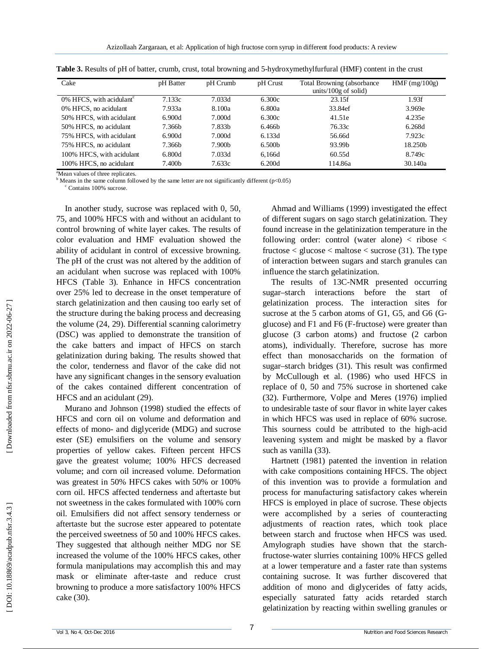| Cake                                    | pH Batter | pH Crumb           | pH Crust           | Total Browning (absorbance)<br>units/100 $g$ of solid) | $HMF$ (mg/100g)     |
|-----------------------------------------|-----------|--------------------|--------------------|--------------------------------------------------------|---------------------|
| $0\%$ HFCS, with acidulant <sup>c</sup> | 7.133c    | 7.033d             | 6.300c             | 23.15f                                                 | 1.93f               |
| 0% HFCS, no acidulant                   | 7.933a    | 8.100a             | 6.800a             | 33.84ef                                                | 3.969e              |
| 50% HFCS, with acidulant                | 6.900d    | 7.000d             | 6.300c             | 41.51e                                                 | 4.235e              |
| 50% HFCS, no acidulant                  | 7.366b    | 7.833 <sub>b</sub> | 6.466b             | 76.33c                                                 | 6.268d              |
| 75% HFCS, with acidulant                | 6.900d    | 7.000d             | 6.133d             | 56.66d                                                 | 7.923c              |
| 75% HFCS, no acidulant                  | 7.366b    | 7.900b             | 6.500 <sub>b</sub> | 93.99b                                                 | 18.250 <sub>h</sub> |
| 100% HFCS, with acidulant               | 6.800d    | 7.033d             | 6.166d             | 60.55d                                                 | 8.749c              |
| 100% HFCS, no acidulant                 | 7.400b    | 7.633c             | 6.200d             | 114.86a                                                | 30.140a             |

| Table 3. Results of pH of batter, crumb, crust, total browning and 5-hydroxymethylfurfural (HMF) content in the crust |  |  |  |  |  |
|-----------------------------------------------------------------------------------------------------------------------|--|--|--|--|--|
|                                                                                                                       |  |  |  |  |  |

<sup>a</sup>Mean values of three replicates.<br><sup>b</sup> Means in the same column followed by the same letter are not significantly different (p<0.05) <sup>c</sup> Contains 100% sucrose.

In another study, sucrose was replaced with 0, 50, 75, and 100% HFCS with and without an acidulant to control browning of white layer cakes. The results of color evaluation and HMF evaluation showed the ability of acidulant in control of excessive browning. The pH of the crust was not altered by the addition of an acidulant when sucrose was replaced with 100% HFCS (Table 3). Enhance in HFCS concentration over 25% led to decrease in the onset temperature of starch gelatinization and then causing too early set of the structure during the baking process and decreasing the volume (24, 29). Differential scanning calorimetry (DSC) was applied to demonstrate the transition of the cake batters and impact of HFCS on starch gelatinization during baking. The results showed that the color, tenderness and flavor of the cake did not have any significant changes in the sensory evaluation of the cakes contained different concentration of HFCS and an acidulant (29).

Murano and Johnson (1998) studied the effects of HFCS and corn oil on volume and deformation and effects of mono - and diglyceride (MDG) and sucrose ester (SE) emulsifiers on the volume and sensory properties of yellow cakes. Fifteen percent HFCS gave the greatest volume; 100% HFCS decreased volume; and corn oil increased volume. Deformation was greatest in 50% HFCS cakes with 50% or 100% corn oil. HFCS affected tenderness and aftertaste but not sweetness in the cakes formulated with 100% corn oil. Emulsifiers did not affect sensory tenderness or aftertaste but the sucrose ester appeared to potentate the perceived sweetness of 50 and 100% HFCS cakes. They suggested that although neither MDG nor SE increased the volume of the 100% HFCS cakes, other formula manipulations may accomplish this and may mask or eliminate after -taste and reduce crust browning to produce a more satisfactory 100% HFCS cake (30).

Ahmad and Williams (1999) investigated the effect of different sugars on sago starch gelatinization. They found increase in the gelatinization temperature in the following order: control (water alone)  $\langle$  ribose  $\langle$ fructose  $\lt$  glucose  $\lt$  maltose  $\lt$  sucrose (31). The type of interaction between sugars and starch granules can influence the starch gelatinization.

The results of 13C -NMR presented occurring sugar–starch interactions before the start of gelatinization process. The interaction sites for sucrose at the 5 carbon atoms of G1, G5, and G6 (Gglucose) and F1 and F6 (F -fructose) were greater than glucose (3 carbon atoms) and fructose (2 carbon atoms), individually. Therefore, sucrose has more effect than monosaccharids on the formation of sugar–starch bridges (31). This result was confirmed by McCullough et al. (1986) who used HFCS in replace of 0, 50 and 75% sucrose in shortened cake (32). Furthermore, Volpe and Meres (1976) implied to undesirable taste of sour flavor in white layer cakes in which HFCS was used in replace of 60% sucrose. This sourness could be attributed to the high -acid leavening system and might be masked by a flavor such as vanilla (33) .

Hartnett (1981) patented the invention in relation with cake compositions containing HFCS. The object of this invention was to provide a formulation and process for manufacturing satisfactory cakes wherein HFCS is employed in place of sucrose. These objects were accomplished by a series of counteracting adjustments of reaction rates, which took place between starch and fructose when HFCS was used. Amylograph studies have shown that the starch fructose -water slurries containing 100% HFCS gelled at a lower temperature and a faster rate than systems containing sucrose. It was further discovered that addition of mono and diglycerides of fatty acids, especially saturated fatty acids retarded starch gelatinization by reacting within swelling granules or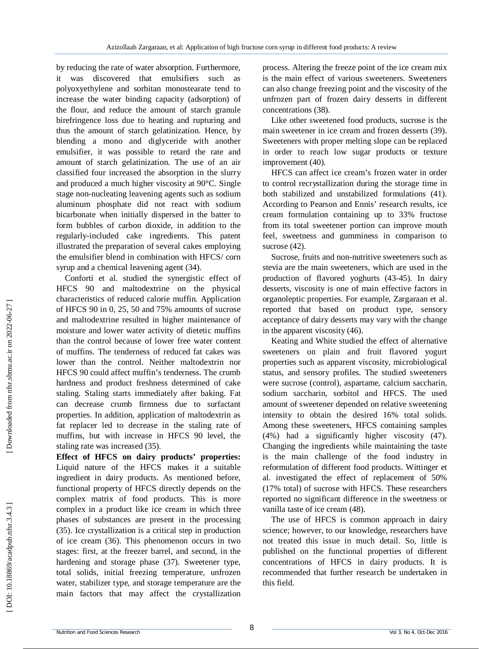by reducing the rate of water absorption. Furthermore, it was discovered that emulsifiers such polyoxyethylene and sorbitan monostearate tend to increase the water binding capacity (adsorption) of the flour, and reduce the amount of starch granule birefringence loss due to heating and rupturing and thus the amount of starch gelatinization. Hence, by blending a mono and diglyceride with another emulsifier, it was possible to retard the rate and amount of starch gelatinization. The use of an air classified four increased the absorption in the slurry and produced a much higher viscosity at 90°C. Single stage non -nucleating leavening agents such as sodium aluminum phosphate did not react with sodium bicarbonate when initially dispersed in the batter to form bubbles of carbon dioxide, in addition to the regularly -included cake ingredients. This patent illustrated the preparation of several cakes employing the emulsifier blend in combination with HFCS/ corn syrup and a chemical leavening agent (34).

Conforti et al. studied the synergistic effect of HFCS 90 and maltodextrine on the physical characteristics of reduced calorie muffin. Application of HFCS 90 in 0, 25, 50 and 75% amounts of sucrose and maltodextrine resulted in higher maintenance of moisture and lower water activity of dietetic muffins than the control because of lower free water content of muffins. The tenderness of reduced fat cakes was lower than the control. Neither maltodextrin nor HFCS 90 could affect muffin's tenderness. The crumb hardness and product freshness determined of cake staling. Staling starts immediately after baking. Fat can decrease crumb firmness due to surfactant properties. In addition, application of maltodextrin as fat replacer led to decrease in the staling rate of muffins, but with increase in HFCS 90 level, the staling rate was increased (35).

**Effect of HFCS on dairy products' properties:**  Liquid nature of the HFCS makes it a suitable ingredient in dairy products. As mentioned before, functional property of HFCS directly depends on the complex matrix of food products. This is more complex in a product like ice cream in which three phases of substances are present in the processing (35). Ice crystallization is a critical step in production of ice cream (36). This phenomenon occurs in two stages: first, at the freezer barrel, and second, in the hardening and storage phase (37). Sweetener type, total solids, initial freezing temperature, unfrozen water, stabilizer type, and storage temperature are the main factors that may affect the crystallization process. Altering the freeze point of the ice cream mix is the main effect of various sweeteners. Sweeteners can also change freezing point and the viscosity of the unfrozen part of frozen dairy desserts in different concentrations (38).

Like other sweetened food products, sucrose is the main sweetener in ice cream and frozen desserts (39). Sweeteners with proper melting slope can be replaced in order to reach low sugar products or texture improvement (40).

HFCS can affect ice cream's frozen water in order to control recrystallization during the storage time in both stabilized and unstabilized formulations (41). According to Pearson and Ennis' research results, ice cream formulation containing up to 33% fructose from its total sweetener portion can improve mouth feel, sweetness and gumminess in comparison to sucrose  $(42)$ .

Sucrose, fruits and non -nutritive sweeteners such as stevia are the main sweeteners, which are used in the production of flavored yoghurts (43 -45). In dairy desserts, viscosity is one of main effective factors in organoleptic properties. For example, Zargaraan et al. reported that based on product type, sensory acceptance of dairy desserts may vary with the change in the apparent viscosity (46).

Keating and White studied the effect of alternative sweeteners on plain and fruit flavored yogurt properties such as apparent viscosity, microbiological status, and sensory profiles. The studied sweeteners were sucrose (control), aspartame, calcium saccharin, sodium saccharin, sorbitol and HFCS. The used amount of sweetener depended on relative sweetening intensity to obtain the desired 16% total solids. Among these sweeteners, HFCS containing samples (4%) had a significantly higher viscosity (47). Changing the ingredients while maintaining the taste is the main challenge of the food industry in reformulation of different food products. Wittinger et al. investigated the effect of replacement of 50% (17% total) of sucrose with HFCS. These researchers reported no significant difference in the sweetness or vanilla taste of ice cream (48).

The use of HFCS is common approach in dairy science; however, to our knowledge, researchers have not treated this issue in much detail. So, little is published on the functional properties of different concentrations of HFCS in dairy products. It is recommended that further research be undertaken in this field.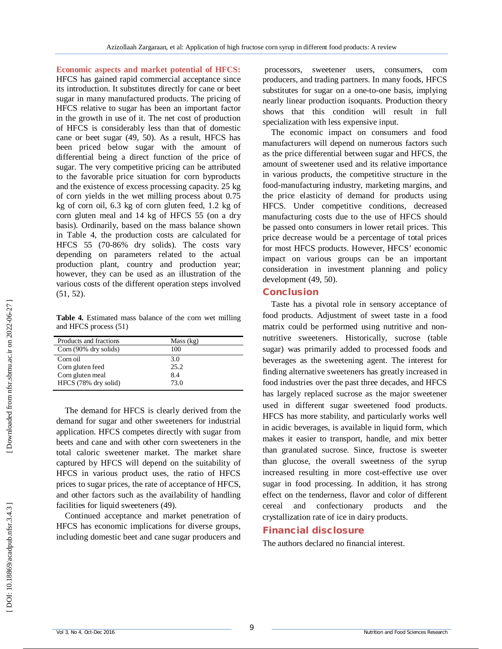**Economic aspects and market potential of HFCS:**  HFCS has gained rapid commercial acceptance since its introduction. It substitutes directly for cane or beet sugar in many manufactured products. The pricing of HFCS relative to sugar has been an important factor in the growth in use of it. The net cost of production of HFCS is considerably less than that of domestic cane or beet sugar (49, 50). As a result, HFCS has been priced below sugar with the amount of differential being a direct function of the price of sugar. The very competitive pricing can be attributed to the favorable price situation for corn byproducts and the existence of excess processing capacity. 25 kg of corn yields in the wet milling process about 0.75 kg of corn oil, 6.3 kg of corn gluten feed, 1.2 kg of corn gluten meal and 14 kg of HFCS 55 (on a dry basis). Ordinarily, based on the mass balance shown in Table 4, the production costs are calculated for HFCS 55 (70 -86% dry solids). The costs vary depending on parameters related to the actual production plant, country and production year; however, they can be used as an illustration of the various costs of the different operation steps involved (51, 52).

**Table 4.** Estimated mass balance of the corn wet milling and HFCS process (51)

| Products and fractions | Mass (kg) |  |
|------------------------|-----------|--|
| Corn (90% dry solids)  | 100       |  |
| Corn oil               | 3.0       |  |
| Corn gluten feed       | 25.2      |  |
| Corn gluten meal       | 8.4       |  |
| HFCS (78% dry solid)   | 73.0      |  |

The demand for HFCS is clearly derived from the demand for sugar and other sweeteners for industrial application. HFCS competes directly with sugar from beets and cane and with other corn sweeteners in the total caloric sweetener market. The market share captured by HFCS will depend on the suitability of HFCS in various product uses, the ratio of HFCS prices to sugar prices, the rate of acceptance of HFCS, and other factors such as the availability of handling facilities for liquid sweeteners (49).

Continued acceptance and market penetration of HFCS has economic implications for diverse groups, including domestic beet and cane sugar producers and

processors, sweetener users, consumers, com producers, and trading partners. In many foods, HFCS substitutes for sugar on a one-to-one basis, implying nearly linear production isoquants. Production theory shows that this condition will result in full specialization with less expensive input.

The economic impact on consumers and food manufacturers will depend on numerous factors such as the price differential between sugar and HFCS, the amount of sweetener used and its relative importance in various products, the competitive structure in the food -manufacturing industry, marketing margins, and the price elasticity of demand for products using HFCS. Under competitive conditions, decreased manufacturing costs due to the use of HFCS should be passed onto consumers in lower retail prices. This price decrease would be a percentage of total prices for most HFCS products. However, HFCS' economic impact on various groups can be an important consideration in investment planning and policy development (49, 50).

### **Conclusion**

Taste has a pivotal role in sensory acceptance of food products. Adjustment of sweet taste in a food matrix could be performed using nutritive and non nutritive sweeteners. Historically, sucrose (table sugar) was primarily added to processed foods and beverages as the sweetening agent. The interest for finding alternative sweeteners has greatly increased in food industries over the past three decades, and HFCS has largely replaced sucrose as the major sweetener used in different sugar sweetened food products. HFCS has more stability, and particularly works well in acidic beverages, is available in liquid form, which makes it easier to transport, handle, and mix better than granulated sucrose. Since, fructose is sweeter than glucose, the overall sweetness of the syrup increased resulting in more cost -effective use over sugar in food processing. In addition, it has strong effect on the tenderness, flavor and color of different cereal and confectionary products and the crystallization rate of ice in dairy products.

#### **Financial disclosure**

The authors declared no financial interest.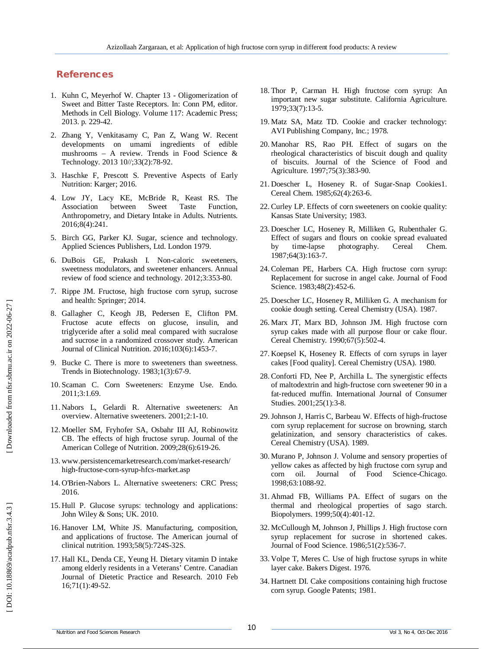### **References**

- 1 . Kuhn C, Meyerhof W. Chapter 13 Oligomerization of Sweet and Bitter Taste Receptors. In: Conn PM, editor. Methods in Cell Biology. Volume 117: Academic Press; 2013. p. 229 -42.
- 2 . Zhang Y, Venkitasamy C, Pan Z, Wang W. Recent developments on umami ingredients of edible mushrooms – A review. Trends in Food Science & Technology. 2013 10//;33(2):78 -92.
- 3 . Haschke F, Prescott S. Preventive Aspects of Early Nutrition: Karger; 2016.
- 4 . Low JY, Lacy KE, McBride R, Keast RS. The Association between Sweet Taste Function, Anthropometry, and Dietary Intake in Adults. Nutrients. 2016;8(4):241.
- 5 . Birch GG, Parker KJ. Sugar, science and technology. Applied Sciences Publishers, Ltd. London 1979.
- 6 . DuBois GE, Prakash I. Non -caloric sweeteners, sweetness modulators, and sweetener enhancers. Annual review of food science and technology. 2012;3:353 -80.
- 7 . Rippe JM. Fructose, high fructose corn syrup, sucrose and health: Springer; 2014.
- 8 . Gallagher C, Keogh JB, Pedersen E, Clifton PM. Fructose acute effects on glucose, insulin, and triglyceride after a solid meal compared with sucralose and sucrose in a randomized crossover study. American Journal of Clinical Nutrition. 2016;103(6):1453 -7.
- 9 . Bucke C. There is more to sweeteners than sweetness. Trends in Biotechnology. 1983;1(3):67 -9.
- 10 . Scaman C. Corn Sweeteners: Enzyme Use. Endo. 2011;3:1.69.
- 11 . Nabors L, Gelardi R. Alternative sweeteners: An overview. Alternative sweeteners. 2001;2:1 -10.
- 12 . Moeller SM, Fryhofer SA, Osbahr III AJ, Robinowitz CB. The effects of high fructose syrup. Journal of the American College of Nutrition. 2009;28(6):619 -26.
- 13 . www.persistencemarketresearch.com/market -research/ high -fructose -corn -syrup -hfcs -market.asp
- 14 . O'Brien -Nabors L. Alternative sweeteners: CRC Press; 2016.
- 15 . Hull P. Glucose syrups: technology and applications: John Wiley & Sons; UK. 2010.
- 16 . Hanover LM, White JS. Manufacturing, composition, and applications of fructose. The American journal of clinical nutrition. 1993;58(5):724S -32S.
- 17 . Hall KL, Denda CE, Yeung H. Dietary vitamin D intake among elderly residents in a Veterans' Centre. Canadian Journal of Dietetic Practice and Research. 2010 Feb 16;71(1):49 -52.
- 18 . Thor P, Carman H. High fructose corn syrup: An important new sugar substitute. California Agriculture. 1979;33(7):13 -5.
- 19 . Matz SA, Matz TD. Cookie and cracker technology: AVI Publishing Company, Inc.; 1978.
- 20 . Manohar RS, Rao PH. Effect of sugars on the rheological characteristics of biscuit dough and quality of biscuits. Journal of the Science of Food and Agriculture. 1997;75(3):383 -90.
- 21 . Doescher L, Hoseney R. of Sugar -Snap Cookies1. Cereal Chem. 1985;62(4):263 -6.
- 22 . Curley LP. Effects of corn sweeteners on cookie quality: Kansas State University; 1983.
- 23 . Doescher LC, Hoseney R, Milliken G, Rubenthaler G. Effect of sugars and flours on cookie spread evaluated by time-lapse photography. Cereal Chem. 1987;64(3):163 -7.
- 24 . Coleman PE, Harbers CA. High fructose corn syrup: Replacement for sucrose in angel cake. Journal of Food Science. 1983;48(2):452 -6.
- 25 . Doescher LC, Hoseney R, Milliken G. A mechanism for cookie dough setting. Cereal Chemistry (USA). 1987.
- 26 . Marx JT, Marx BD, Johnson JM. High fructose corn syrup cakes made with all purpose flour or cake flour. Cereal Chemistry. 1990;67(5):502 -4.
- 27 . Koepsel K, Hoseney R. Effects of corn syrups in layer cakes [Food quality]. Cereal Chemistry (USA). 1980.
- 28 . Conforti FD, Nee P, Archilla L. The synergistic effects of maltodextrin and high ‐fructose corn sweetener 90 in a fat ‐reduced muffin. International Journal of Consumer Studies. 2001;25(1):3 -8.
- 29 .Johnson J, Harris C, Barbeau W. Effects of high -fructose corn syrup replacement for sucrose on browning, starch gelatinization, and sensory characteristics of cakes. Cereal Chemistry (USA). 1989.
- 30 . Murano P, Johnson J. Volume and sensory properties of yellow cakes as affected by high fructose corn syrup and corn oil. Journal of Food Science -Chicago. 1998;63:1088 -92.
- 31 . Ahmad FB, Williams PA. Effect of sugars on the thermal and rheological properties of sago starch. Biopolymers. 1999;50(4):401 -12.
- 32 . McCullough M, Johnson J, Phillips J. High fructose corn syrup replacement for sucrose in shortened cakes. Journal of Food Science. 1986;51(2):536 -7.
- 33 . Volpe T, Meres C. Use of high fructose syrups in white layer cake. Bakers Digest. 1976.
- 34 . Hartnett DI. Cake compositions containing high fructose corn syrup. Google Patents; 1981.

DOI: 10.18869/acadpub.nfsr.3.4.3